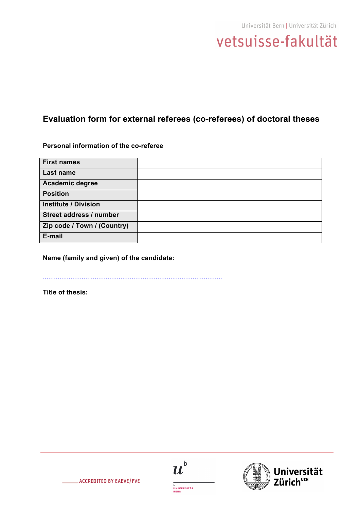

# **Evaluation form for external referees (co-referees) of doctoral theses**

### **Personal information of the co-referee**

| <b>First names</b>          |  |
|-----------------------------|--|
| Last name                   |  |
| <b>Academic degree</b>      |  |
| <b>Position</b>             |  |
| <b>Institute / Division</b> |  |
| Street address / number     |  |
| Zip code / Town / (Country) |  |
| E-mail                      |  |

## **Name (family and given) of the candidate:**

.................................................................................................

**Title of thesis:**





iversität UZH